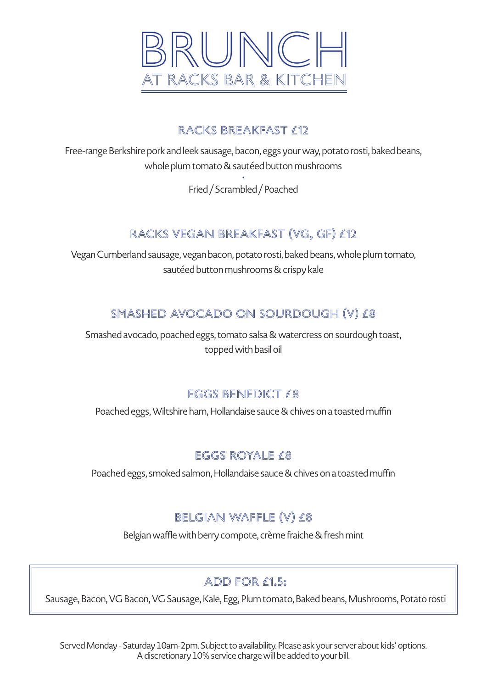

### RACKS BREAKFAST £12

Free-range Berkshire pork and leek sausage, bacon, eggs your way, potato rosti, baked beans, whole plum tomato & sautéed button mushrooms

> • Fried / Scrambled / Poached

# RACKS VEGAN BREAKFAST (VG, GF) £12

Vegan Cumberland sausage, vegan bacon, potato rosti, baked beans, whole plum tomato, sautéed button mushrooms & crispy kale

### Smashed Avocado ON Sourdough (V) £8

Smashed avocado, poached eggs, tomato salsa & watercress on sourdough toast, topped with basil oil

### EGGS BENEDICT £8

Poached eggs, Wiltshire ham, Hollandaise sauce & chives on a toasted muffin

### Eggs Royale £8

Poached eggs, smoked salmon, Hollandaise sauce & chives on a toasted muffin

## Belgian Waffle (V) £8

Belgian waffle with berry compote, crème fraiche & fresh mint

## add for £1.5:

Sausage, Bacon, VG Bacon, VG Sausage, Kale, Egg, Plum tomato, Baked beans, Mushrooms, Potato rosti

Served Monday - Saturday 10am-2pm. Subject to availability. Please ask your server about kids' options. A discretionary 10% service charge will be added to your bill.